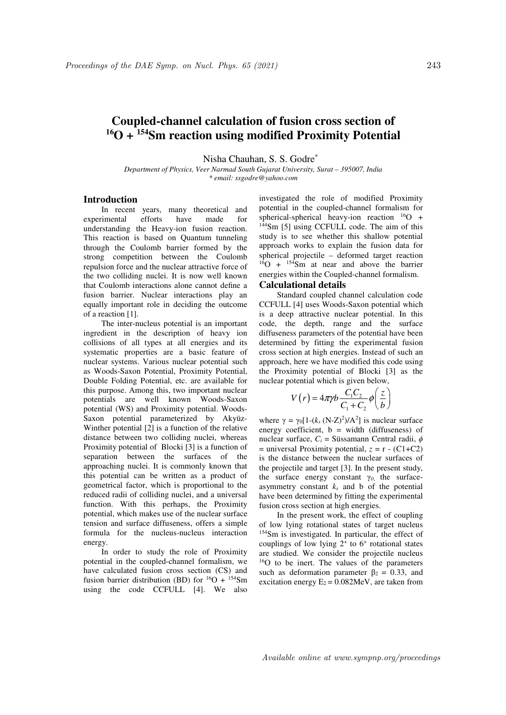# **Coupled-channel calculation of fusion cross section of <sup>16</sup>O + <sup>154</sup>Sm reaction using modified Proximity Potential**

Nisha Chauhan, S. S. Godre\*

*Department of Physics, Veer Narmad South Gujarat University, Surat – 395007, India \* email: ssgodre@yahoo.com* 

## **Introduction**

In recent years, many theoretical and experimental efforts have made for understanding the Heavy-ion fusion reaction. This reaction is based on Quantum tunneling through the Coulomb barrier formed by the strong competition between the Coulomb repulsion force and the nuclear attractive force of the two colliding nuclei. It is now well known that Coulomb interactions alone cannot define a fusion barrier. Nuclear interactions play an equally important role in deciding the outcome of a reaction [1].

The inter-nucleus potential is an important ingredient in the description of heavy ion collisions of all types at all energies and its systematic properties are a basic feature of nuclear systems. Various nuclear potential such as Woods-Saxon Potential, Proximity Potential, Double Folding Potential, etc. are available for this purpose. Among this, two important nuclear potentials are well known Woods-Saxon potential (WS) and Proximity potential. Woods-Saxon potential parameterized by Akyüz-Winther potential [2] is a function of the relative distance between two colliding nuclei, whereas Proximity potential of Blocki [3] is a function of separation between the surfaces of the approaching nuclei. It is commonly known that this potential can be written as a product of geometrical factor, which is proportional to the reduced radii of colliding nuclei, and a universal function. With this perhaps, the Proximity potential, which makes use of the nuclear surface tension and surface diffuseness, offers a simple formula for the nucleus-nucleus interaction energy.

In order to study the role of Proximity potential in the coupled-channel formalism, we have calculated fusion cross section (CS) and fusion barrier distribution (BD) for  ${}^{16}O + {}^{154}Sm$ using the code CCFULL [4]. We also

investigated the role of modified Proximity potential in the coupled-channel formalism for spherical-spherical heavy-ion reaction  $^{16}O +$ <sup>144</sup>Sm [5] using CCFULL code. The aim of this study is to see whether this shallow potential approach works to explain the fusion data for spherical projectile – deformed target reaction  $^{16}$ O +  $^{154}$ Sm at near and above the barrier energies within the Coupled-channel formalism.

## **Calculational details**

Standard coupled channel calculation code CCFULL [4] uses Woods-Saxon potential which is a deep attractive nuclear potential. In this code, the depth, range and the surface diffuseness parameters of the potential have been determined by fitting the experimental fusion cross section at high energies. Instead of such an approach, here we have modified this code using the Proximity potential of Blocki [3] as the nuclear potential which is given below,

$$
V(r) = 4\pi r/b \frac{C_1 C_2}{C_1 + C_2} \phi\left(\frac{z}{b}\right)
$$

where  $\gamma = \gamma_0 [1-(k_s (N-Z)^2)/A^2]$  is nuclear surface energy coefficient,  $b = width$  (diffuseness) of nuclear surface,  $C_i$  = Süssamann Central radii,  $\phi$  $=$  universal Proximity potential,  $z = r - (C1+C2)$ is the distance between the nuclear surfaces of the projectile and target [3]. In the present study, the surface energy constant γ*0*, the surfaceasymmetry constant  $k_s$  and b of the potential have been determined by fitting the experimental fusion cross section at high energies.

In the present work, the effect of coupling of low lying rotational states of target nucleus <sup>154</sup>Sm is investigated. In particular, the effect of couplings of low lying  $2^+$  to  $6^+$  rotational states are studied. We consider the projectile nucleus <sup>16</sup>O to be inert. The values of the parameters such as deformation parameter  $\beta_2 = 0.33$ , and excitation energy  $E_2 = 0.082MeV$ , are taken from